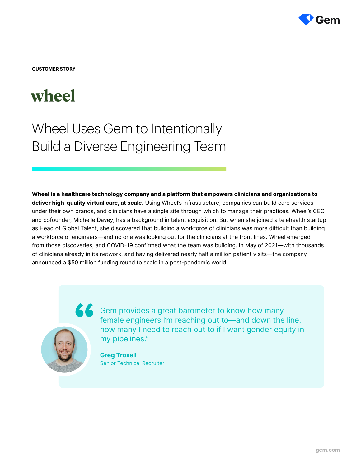

**CUSTOMER STORY**

# wheel

Wheel Uses Gem to Intentionally Build a Diverse Engineering Team

Wheel is a healthcare technology company and a platform that empowers clinicians and organizations to deliver high-quality virtual care, at scale. Using Wheel's infrastructure, companies can build care services under their own brands, and clinicians have a single site through which to manage their practices. Wheel's CEO and cofounder, Michelle Davey, has a background in talent acquisition. But when she joined a telehealth startup as Head of Global Talent, she discovered that building a workforce of clinicians was more difficult than building a workforce of engineers—and no one was looking out for the clinicians at the front lines. Wheel emerged from those discoveries, and COVID-19 confirmed what the team was building. In May of 2021—with thousands of clinicians already in its network, and having delivered nearly half a million patient visits—the company announced a \$50 million funding round to scale in a post-pandemic world.



GC Gem provides a great barometer to know how many female engineers I'm reaching out to—and down the line, how many I need to reach out to if I want gender equity in my pipelines."

> Greg Troxell Senior Technical Recruiter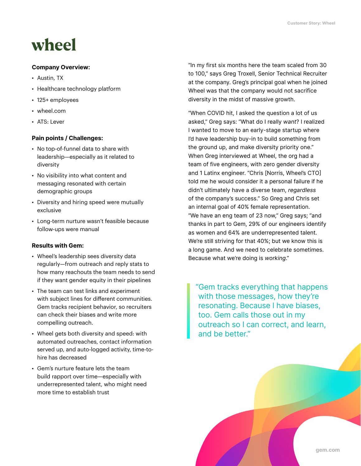# wheel

#### Company Overview:

- Austin, TX
- Healthcare technology platform
- 125+ employees
- wheel.com
- ATS: Lever

## Pain points / Challenges:

- No top-of-funnel data to share with leadership—especially as it related to diversity
- No visibility into what content and messaging resonated with certain demographic groups
- Diversity and hiring speed were mutually exclusive
- Long-term nurture wasn't feasible because follow-ups were manual

## Results with Gem:

- Wheel's leadership sees diversity data regularly—from outreach and reply stats to how many reachouts the team needs to send if they want gender equity in their pipelines
- The team can test links and experiment with subject lines for different communities. Gem tracks recipient behavior, so recruiters can check their biases and write more compelling outreach.
- Wheel gets both diversity and speed: with automated outreaches, contact information served up, and auto-logged activity, time-tohire has decreased
- Gem's nurture feature lets the team build rapport over time—especially with underrepresented talent, who might need more time to establish trust

"In my first six months here the team scaled from 30 to 100," says Greg Troxell, Senior Technical Recruiter at the company. Greg's principal goal when he joined Wheel was that the company would not sacrifice diversity in the midst of massive growth.

"When COVID hit, I asked the question a lot of us asked," Greg says: "What do I really want? I realized I wanted to move to an early-stage startup where I'd have leadership buy-in to build something from the ground up, and make diversity priority one." When Greg interviewed at Wheel, the org had a team of five engineers, with zero gender diversity and 1 Latinx engineer. "Chris [Norris, Wheel's CTO] told me he would consider it a personal failure if he didn't ultimately have a diverse team, regardless of the company's success." So Greg and Chris set an internal goal of 40% female representation. "We have an eng team of 23 now," Greg says; "and thanks in part to Gem, 29% of our engineers identify as women and 64% are underrepresented talent. We're still striving for that 40%; but we know this is a long game. And we need to celebrate sometimes. Because what we're doing is working."

"Gem tracks everything that happens with those messages, how they're resonating. Because I have biases, too. Gem calls those out in my outreach so I can correct, and learn, and be better."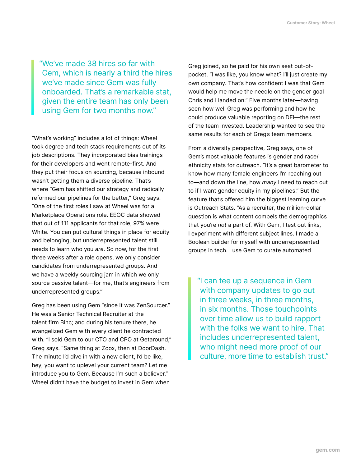"We've made 38 hires so far with Gem, which is nearly a third the hires we've made since Gem was fully onboarded. That's a remarkable stat, given the entire team has only been using Gem for two months now."

"What's working" includes a lot of things: Wheel took degree and tech stack requirements out of its job descriptions. They incorporated bias trainings for their developers and went remote-first. And they put their focus on sourcing, because inbound wasn't getting them a diverse pipeline. That's where "Gem has shifted our strategy and radically reformed our pipelines for the better," Greg says. "One of the first roles I saw at Wheel was for a Marketplace Operations role. EEOC data showed that out of 111 applicants for that role, 97% were White. You can put cultural things in place for equity and belonging, but underrepresented talent still needs to learn who you are. So now, for the first three weeks after a role opens, we only consider candidates from underrepresented groups. And we have a weekly sourcing jam in which we only source passive talent—for me, that's engineers from underrepresented groups."

Greg has been using Gem "since it was ZenSourcer." He was a Senior Technical Recruiter at the talent firm Binc; and during his tenure there, he evangelized Gem with every client he contracted with. "I sold Gem to our CTO and CPO at Getaround," Greg says. "Same thing at Zoox, then at DoorDash. The minute I'd dive in with a new client, I'd be like, hey, you want to uplevel your current team? Let me introduce you to Gem. Because I'm such a believer." Wheel didn't have the budget to invest in Gem when

Greg joined, so he paid for his own seat out-ofpocket. "I was like, you know what? I'll just create my own company. That's how confident I was that Gem would help me move the needle on the gender goal Chris and I landed on." Five months later—having seen how well Greg was performing and how he could produce valuable reporting on DEI—the rest of the team invested. Leadership wanted to see the same results for each of Greg's team members.

From a diversity perspective, Greg says, one of Gem's most valuable features is gender and race/ ethnicity stats for outreach. "It's a great barometer to know how many female engineers I'm reaching out to—and down the line, how many I need to reach out to if I want gender equity in my pipelines." But the feature that's offered him the biggest learning curve is Outreach Stats. "As a recruiter, the million-dollar question is what content compels the demographics that you're not a part of. With Gem, I test out links, I experiment with different subject lines. I made a Boolean builder for myself with underrepresented groups in tech. I use Gem to curate automated

"I can tee up a sequence in Gem with company updates to go out in three weeks, in three months, in six months. Those touchpoints over time allow us to build rapport with the folks we want to hire. That includes underrepresented talent, who might need more proof of our culture, more time to establish trust."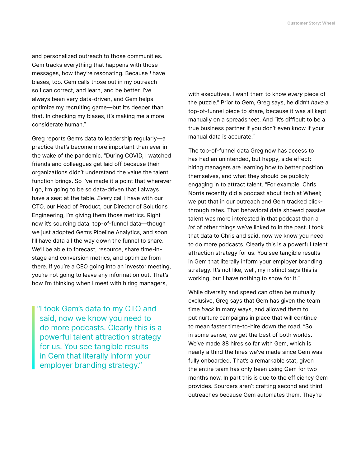and personalized outreach to those communities. Gem tracks everything that happens with those messages, how they're resonating. Because I have biases, too. Gem calls those out in my outreach so I can correct, and learn, and be better. I've always been very data-driven, and Gem helps optimize my recruiting game—but it's deeper than that. In checking my biases, it's making me a more considerate human."

Greg reports Gem's data to leadership regularly—a practice that's become more important than ever in the wake of the pandemic. "During COVID, I watched friends and colleagues get laid off because their organizations didn't understand the value the talent function brings. So I've made it a point that wherever I go, I'm going to be so data-driven that I always have a seat at the table. Every call I have with our CTO, our Head of Product, our Director of Solutions Engineering, I'm giving them those metrics. Right now it's sourcing data, top-of-funnel data—though we just adopted Gem's Pipeline Analytics, and soon I'll have data all the way down the funnel to share. We'll be able to forecast, resource, share time-instage and conversion metrics, and optimize from there. If you're a CEO going into an investor meeting, you're not going to leave any information out. That's how I'm thinking when I meet with hiring managers,

"I took Gem's data to my CTO and said, now we know you need to do more podcasts. Clearly this is a powerful talent attraction strategy for us. You see tangible results in Gem that literally inform your employer branding strategy."

with executives. I want them to know every piece of the puzzle." Prior to Gem, Greg says, he didn't have a top-of-funnel piece to share, because it was all kept manually on a spreadsheet. And "it's difficult to be a true business partner if you don't even know if your manual data is accurate."

The top-of-funnel data Greg now has access to has had an unintended, but happy, side effect: hiring managers are learning how to better position themselves, and what they should be publicly engaging in to attract talent. "For example, Chris Norris recently did a podcast about tech at Wheel; we put that in our outreach and Gem tracked clickthrough rates. That behavioral data showed passive talent was more interested in that podcast than a lot of other things we've linked to in the past. I took that data to Chris and said, now we know you need to do more podcasts. Clearly this is a powerful talent attraction strategy for us. You see tangible results in Gem that literally inform your employer branding strategy. It's not like, well, my instinct says this is working, but I have nothing to show for it."

While diversity and speed can often be mutually exclusive, Greg says that Gem has given the team time back in many ways, and allowed them to put nurture campaigns in place that will continue to mean faster time-to-hire down the road. "So in some sense, we get the best of both worlds. We've made 38 hires so far with Gem, which is nearly a third the hires we've made since Gem was fully onboarded. That's a remarkable stat, given the entire team has only been using Gem for two months now. In part this is due to the efficiency Gem provides. Sourcers aren't crafting second and third outreaches because Gem automates them. They're